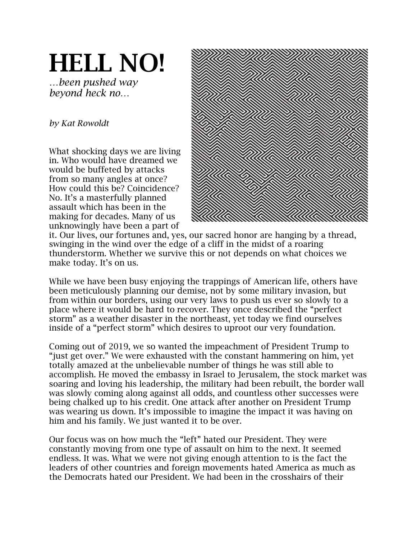## HELL NO!

*…been pushed way beyond heck no…*

## *by Kat Rowoldt*

What shocking days we are living in. Who would have dreamed we would be buffeted by attacks from so many angles at once? How could this be? Coincidence? No. It's a masterfully planned assault which has been in the making for decades. Many of us unknowingly have been a part of



it. Our lives, our fortunes and, yes, our sacred honor are hanging by a thread, swinging in the wind over the edge of a cliff in the midst of a roaring thunderstorm. Whether we survive this or not depends on what choices we make today. It's on us.

While we have been busy enjoying the trappings of American life, others have been meticulously planning our demise, not by some military invasion, but from within our borders, using our very laws to push us ever so slowly to a place where it would be hard to recover. They once described the "perfect storm" as a weather disaster in the northeast, yet today we find ourselves inside of a "perfect storm" which desires to uproot our very foundation.

Coming out of 2019, we so wanted the impeachment of President Trump to "just get over." We were exhausted with the constant hammering on him, yet totally amazed at the unbelievable number of things he was still able to accomplish. He moved the embassy in Israel to Jerusalem, the stock market was soaring and loving his leadership, the military had been rebuilt, the border wall was slowly coming along against all odds, and countless other successes were being chalked up to his credit. One attack after another on President Trump was wearing us down. It's impossible to imagine the impact it was having on him and his family. We just wanted it to be over.

Our focus was on how much the "left" hated our President. They were constantly moving from one type of assault on him to the next. It seemed endless. It was. What we were not giving enough attention to is the fact the leaders of other countries and foreign movements hated America as much as the Democrats hated our President. We had been in the crosshairs of their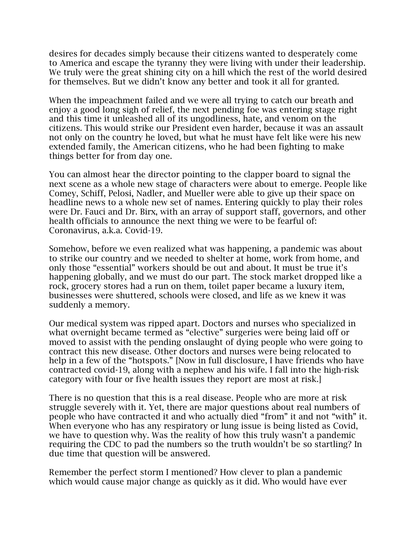desires for decades simply because their citizens wanted to desperately come to America and escape the tyranny they were living with under their leadership. We truly were the great shining city on a hill which the rest of the world desired for themselves. But we didn't know any better and took it all for granted.

When the impeachment failed and we were all trying to catch our breath and enjoy a good long sigh of relief, the next pending foe was entering stage right and this time it unleashed all of its ungodliness, hate, and venom on the citizens. This would strike our President even harder, because it was an assault not only on the country he loved, but what he must have felt like were his new extended family, the American citizens, who he had been fighting to make things better for from day one.

You can almost hear the director pointing to the clapper board to signal the next scene as a whole new stage of characters were about to emerge. People like Comey, Schiff, Pelosi, Nadler, and Mueller were able to give up their space on headline news to a whole new set of names. Entering quickly to play their roles were Dr. Fauci and Dr. Birx, with an array of support staff, governors, and other health officials to announce the next thing we were to be fearful of: Coronavirus, a.k.a. Covid-19.

Somehow, before we even realized what was happening, a pandemic was about to strike our country and we needed to shelter at home, work from home, and only those "essential" workers should be out and about. It must be true it's happening globally, and we must do our part. The stock market dropped like a rock, grocery stores had a run on them, toilet paper became a luxury item, businesses were shuttered, schools were closed, and life as we knew it was suddenly a memory.

Our medical system was ripped apart. Doctors and nurses who specialized in what overnight became termed as "elective" surgeries were being laid off or moved to assist with the pending onslaught of dying people who were going to contract this new disease. Other doctors and nurses were being relocated to help in a few of the "hotspots." [Now in full disclosure, I have friends who have contracted covid-19, along with a nephew and his wife. I fall into the high-risk category with four or five health issues they report are most at risk.]

There is no question that this is a real disease. People who are more at risk struggle severely with it. Yet, there are major questions about real numbers of people who have contracted it and who actually died "from" it and not "with" it. When everyone who has any respiratory or lung issue is being listed as Covid, we have to question why. Was the reality of how this truly wasn't a pandemic requiring the CDC to pad the numbers so the truth wouldn't be so startling? In due time that question will be answered.

Remember the perfect storm I mentioned? How clever to plan a pandemic which would cause major change as quickly as it did. Who would have ever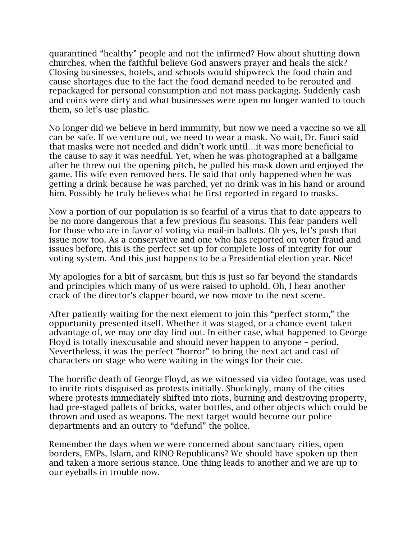quarantined "healthy" people and not the infirmed? How about shutting down churches, when the faithful believe God answers prayer and heals the sick? Closing businesses, hotels, and schools would shipwreck the food chain and cause shortages due to the fact the food demand needed to be rerouted and repackaged for personal consumption and not mass packaging. Suddenly cash and coins were dirty and what businesses were open no longer wanted to touch them, so let's use plastic.

No longer did we believe in herd immunity, but now we need a vaccine so we all can be safe. If we venture out, we need to wear a mask. No wait, Dr. Fauci said that masks were not needed and didn't work until…it was more beneficial to the cause to say it was needful. Yet, when he was photographed at a ballgame after he threw out the opening pitch, he pulled his mask down and enjoyed the game. His wife even removed hers. He said that only happened when he was getting a drink because he was parched, yet no drink was in his hand or around him. Possibly he truly believes what he first reported in regard to masks.

Now a portion of our population is so fearful of a virus that to date appears to be no more dangerous that a few previous flu seasons. This fear panders well for those who are in favor of voting via mail-in ballots. Oh yes, let's push that issue now too. As a conservative and one who has reported on voter fraud and issues before, this is the perfect set-up for complete loss of integrity for our voting system. And this just happens to be a Presidential election year. Nice!

My apologies for a bit of sarcasm, but this is just so far beyond the standards and principles which many of us were raised to uphold. Oh, I hear another crack of the director's clapper board, we now move to the next scene.

After patiently waiting for the next element to join this "perfect storm," the opportunity presented itself. Whether it was staged, or a chance event taken advantage of, we may one day find out. In either case, what happened to George Floyd is totally inexcusable and should never happen to anyone – period. Nevertheless, it was the perfect "horror" to bring the next act and cast of characters on stage who were waiting in the wings for their cue.

The horrific death of George Floyd, as we witnessed via video footage, was used to incite riots disguised as protests initially. Shockingly, many of the cities where protests immediately shifted into riots, burning and destroying property, had pre-staged pallets of bricks, water bottles, and other objects which could be thrown and used as weapons. The next target would become our police departments and an outcry to "defund" the police.

Remember the days when we were concerned about sanctuary cities, open borders, EMPs, Islam, and RINO Republicans? We should have spoken up then and taken a more serious stance. One thing leads to another and we are up to our eyeballs in trouble now.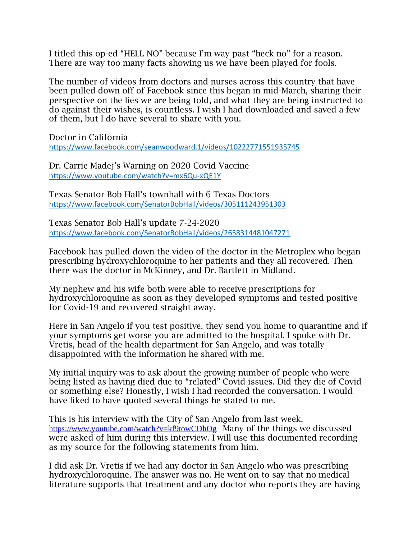I titled this op-ed "HELL NO" because I'm way past "heck no" for a reason. There are way too many facts showing us we have been played for fools.

The number of videos from doctors and nurses across this country that have been pulled down off of Facebook since this began in mid-March, sharing their perspective on the lies we are being told, and what they are being instructed to do against their wishes, is countless. I wish I had downloaded and saved a few of them, but I do have several to share with you.

Doctor in California <https://www.facebook.com/seanwoodward.1/videos/10222771551935745>

Dr. Carrie Madej's Warning on 2020 Covid Vaccine <https://www.youtube.com/watch?v=mx6Qu-xQE1Y>

Texas Senator Bob Hall's townhall with 6 Texas Doctors <https://www.facebook.com/SenatorBobHall/videos/305111243951303>

Texas Senator Bob Hall's update 7-24-2020 <https://www.facebook.com/SenatorBobHall/videos/2658314481047271>

Facebook has pulled down the video of the doctor in the Metroplex who began prescribing hydroxychloroquine to her patients and they all recovered. Then there was the doctor in McKinney, and Dr. Bartlett in Midland.

My nephew and his wife both were able to receive prescriptions for hydroxychloroquine as soon as they developed symptoms and tested positive for Covid-19 and recovered straight away.

Here in San Angelo if you test positive, they send you home to quarantine and if your symptoms get worse you are admitted to the hospital. I spoke with Dr. Vretis, head of the health department for San Angelo, and was totally disappointed with the information he shared with me.

My initial inquiry was to ask about the growing number of people who were being listed as having died due to "related" Covid issues. Did they die of Covid or something else? Honestly, I wish I had recorded the conversation. I would have liked to have quoted several things he stated to me.

This is his interview with the City of San Angelo from last week. <https://www.youtube.com/watch?v=kf9towCDhOg>Many of the things we discussed were asked of him during this interview. I will use this documented recording as my source for the following statements from him.

I did ask Dr. Vretis if we had any doctor in San Angelo who was prescribing hydroxychloroquine. The answer was no. He went on to say that no medical literature supports that treatment and any doctor who reports they are having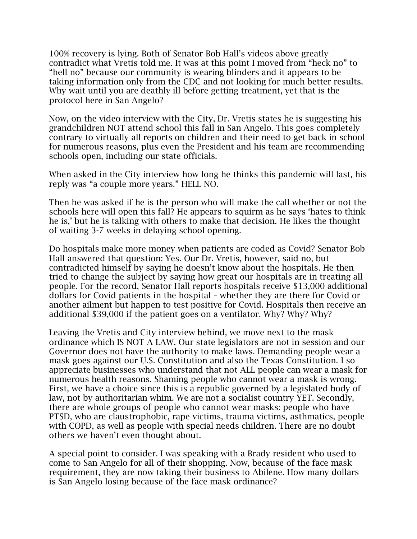100% recovery is lying. Both of Senator Bob Hall's videos above greatly contradict what Vretis told me. It was at this point I moved from "heck no" to "hell no" because our community is wearing blinders and it appears to be taking information only from the CDC and not looking for much better results. Why wait until you are deathly ill before getting treatment, yet that is the protocol here in San Angelo?

Now, on the video interview with the City, Dr. Vretis states he is suggesting his grandchildren NOT attend school this fall in San Angelo. This goes completely contrary to virtually all reports on children and their need to get back in school for numerous reasons, plus even the President and his team are recommending schools open, including our state officials.

When asked in the City interview how long he thinks this pandemic will last, his reply was "a couple more years." HELL NO.

Then he was asked if he is the person who will make the call whether or not the schools here will open this fall? He appears to squirm as he says 'hates to think he is,' but he is talking with others to make that decision. He likes the thought of waiting 3-7 weeks in delaying school opening.

Do hospitals make more money when patients are coded as Covid? Senator Bob Hall answered that question: Yes. Our Dr. Vretis, however, said no, but contradicted himself by saying he doesn't know about the hospitals. He then tried to change the subject by saying how great our hospitals are in treating all people. For the record, Senator Hall reports hospitals receive \$13,000 additional dollars for Covid patients in the hospital – whether they are there for Covid or another ailment but happen to test positive for Covid. Hospitals then receive an additional \$39,000 if the patient goes on a ventilator. Why? Why? Why?

Leaving the Vretis and City interview behind, we move next to the mask ordinance which IS NOT A LAW. Our state legislators are not in session and our Governor does not have the authority to make laws. Demanding people wear a mask goes against our U.S. Constitution and also the Texas Constitution. I so appreciate businesses who understand that not ALL people can wear a mask for numerous health reasons. Shaming people who cannot wear a mask is wrong. First, we have a choice since this is a republic governed by a legislated body of law, not by authoritarian whim. We are not a socialist country YET. Secondly, there are whole groups of people who cannot wear masks: people who have PTSD, who are claustrophobic, rape victims, trauma victims, asthmatics, people with COPD, as well as people with special needs children. There are no doubt others we haven't even thought about.

A special point to consider. I was speaking with a Brady resident who used to come to San Angelo for all of their shopping. Now, because of the face mask requirement, they are now taking their business to Abilene. How many dollars is San Angelo losing because of the face mask ordinance?